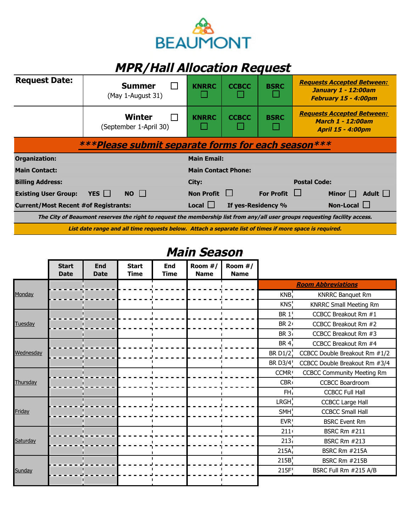

## **MPR/Hall Allocation Request**

| <b>Request Date:</b>                                                                                                        |            | <b>Summer</b><br>(May 1-August 31)      | <b>KNRRC</b>               | <b>CCBCC</b> | <b>BSRC</b>        | <b>Requests Accepted Between:</b><br><b>January 1 - 12:00am</b><br>February 15 - 4:00pm |
|-----------------------------------------------------------------------------------------------------------------------------|------------|-----------------------------------------|----------------------------|--------------|--------------------|-----------------------------------------------------------------------------------------|
|                                                                                                                             |            | <b>Winter</b><br>(September 1-April 30) | <b>KNRRC</b>               | <b>CCBCC</b> | <b>BSRC</b>        | <b>Requests Accepted Between:</b><br>March 1 - 12:00am<br><b>April 15 - 4:00pm</b>      |
| ***Please submit separate forms for each season***                                                                          |            |                                         |                            |              |                    |                                                                                         |
| Organization:                                                                                                               |            |                                         | <b>Main Email:</b>         |              |                    |                                                                                         |
| <b>Main Contact:</b>                                                                                                        |            |                                         | <b>Main Contact Phone:</b> |              |                    |                                                                                         |
| <b>Billing Address:</b>                                                                                                     |            |                                         | City:                      |              |                    | <b>Postal Code:</b>                                                                     |
| <b>Existing User Group:</b>                                                                                                 | YES $\Box$ | NO                                      | <b>Non Profit</b>          |              | <b>For Profit</b>  | $\mathbf{I}$<br>Adult $\Box$<br>Minor                                                   |
| <b>Current/Most Recent #of Registrants:</b>                                                                                 |            |                                         | $Local$ $\Box$             |              | If yes-Residency % | Non-Local $\Box$                                                                        |
| The City of Beaumont reserves the right to request the membership list from any/all user groups requesting facility access. |            |                                         |                            |              |                    |                                                                                         |
| List date range and all time requests below. Attach a separate list of times if more space is required.                     |            |                                         |                            |              |                    |                                                                                         |

## **Main Season**

|           | <b>Start</b><br><b>Date</b> | End<br><b>Date</b> | <b>Start</b><br><b>Time</b> | <b>End</b><br><b>Time</b> | Room #/<br><b>Name</b> | Room $#/$<br><b>Name</b> |                   |                                   |
|-----------|-----------------------------|--------------------|-----------------------------|---------------------------|------------------------|--------------------------|-------------------|-----------------------------------|
|           |                             |                    |                             |                           |                        |                          |                   | <b>Room Abbreviations</b>         |
| Monday    |                             |                    |                             |                           |                        |                          | KNB               | <b>KNRRC Banquet Rm</b>           |
|           |                             |                    |                             |                           |                        |                          | KNS <sup>I</sup>  | <b>KNRRC Small Meeting Rm</b>     |
| Tuesday   |                             |                    |                             |                           |                        |                          | <b>BR 1</b>       | CCBCC Breakout Rm #1              |
|           |                             |                    |                             |                           |                        |                          | <b>BR 2</b>       | CCBCC Breakout Rm #2              |
|           |                             |                    |                             |                           |                        |                          | <b>BR 3</b>       | CCBCC Breakout Rm #3              |
| Wednesday |                             |                    |                             |                           |                        |                          | BR 4 <sub>i</sub> | CCBCC Breakout Rm #4              |
|           |                             |                    |                             |                           |                        |                          | <b>BR D1/2</b>    | CCBCC Double Breakout Rm #1/2     |
|           |                             |                    |                             |                           |                        |                          | <b>BR D3/4</b>    | CCBCC Double Breakout Rm #3/4     |
| Thursday  |                             |                    |                             |                           |                        |                          | <b>CCMR</b>       | <b>CCBCC Community Meeting Rm</b> |
|           |                             |                    |                             |                           |                        |                          | <b>CBR</b>        | <b>CCBCC Boardroom</b>            |
|           |                             |                    |                             |                           |                        |                          | FH,               | <b>CCBCC Full Hall</b>            |
| Friday    |                             |                    |                             |                           |                        |                          | LRGH <sub>1</sub> | <b>CCBCC Large Hall</b>           |
|           |                             |                    |                             |                           |                        |                          | SMH!              | <b>CCBCC Small Hall</b>           |
|           |                             |                    |                             |                           |                        |                          | EVR <sup>I</sup>  | <b>BSRC Event Rm</b>              |
| Saturday  |                             |                    |                             |                           |                        |                          | $211 -$           | <b>BSRC Rm #211</b>               |
|           |                             |                    |                             |                           |                        |                          | 213 <sub>1</sub>  | <b>BSRC Rm #213</b>               |
|           |                             |                    |                             |                           |                        |                          | 215A              | BSRC Rm #215A                     |
|           |                             |                    |                             |                           |                        |                          | 215B              | BSRC Rm #215B                     |
| Sunday    |                             |                    |                             |                           |                        |                          | 215F              | BSRC Full Rm #215 A/B             |
|           |                             |                    |                             |                           |                        |                          |                   |                                   |